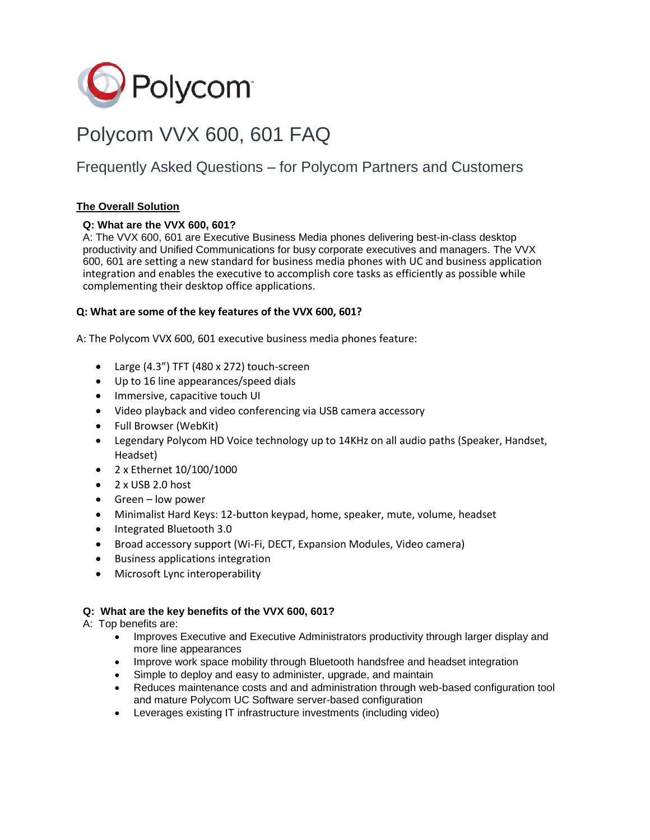

# Polycom VVX 600, 601 FAQ

# Frequently Asked Questions – for Polycom Partners and Customers

# **The Overall Solution**

# **Q: What are the VVX 600, 601?**

A: The VVX 600, 601 are Executive Business Media phones delivering best-in-class desktop productivity and Unified Communications for busy corporate executives and managers. The VVX 600, 601 are setting a new standard for business media phones with UC and business application integration and enables the executive to accomplish core tasks as efficiently as possible while complementing their desktop office applications.

# **Q: What are some of the key features of the VVX 600, 601?**

A: The Polycom VVX 600, 601 executive business media phones feature:

- Large (4.3") TFT (480 x 272) touch-screen
- Up to 16 line appearances/speed dials
- Immersive, capacitive touch UI
- Video playback and video conferencing via USB camera accessory
- Full Browser (WebKit)
- Legendary Polycom HD Voice technology up to 14KHz on all audio paths (Speaker, Handset, Headset)
- 2 x Ethernet 10/100/1000
- 2 x USB 2.0 host
- Green low power
- Minimalist Hard Keys: 12-button keypad, home, speaker, mute, volume, headset
- Integrated Bluetooth 3.0
- Broad accessory support (Wi-Fi, DECT, Expansion Modules, Video camera)
- Business applications integration
- Microsoft Lync interoperability

# **Q: What are the key benefits of the VVX 600, 601?**

A: Top benefits are:

- Improves Executive and Executive Administrators productivity through larger display and more line appearances
- Improve work space mobility through Bluetooth handsfree and headset integration
- Simple to deploy and easy to administer, upgrade, and maintain
- Reduces maintenance costs and and administration through web-based configuration tool and mature Polycom UC Software server-based configuration
- Leverages existing IT infrastructure investments (including video)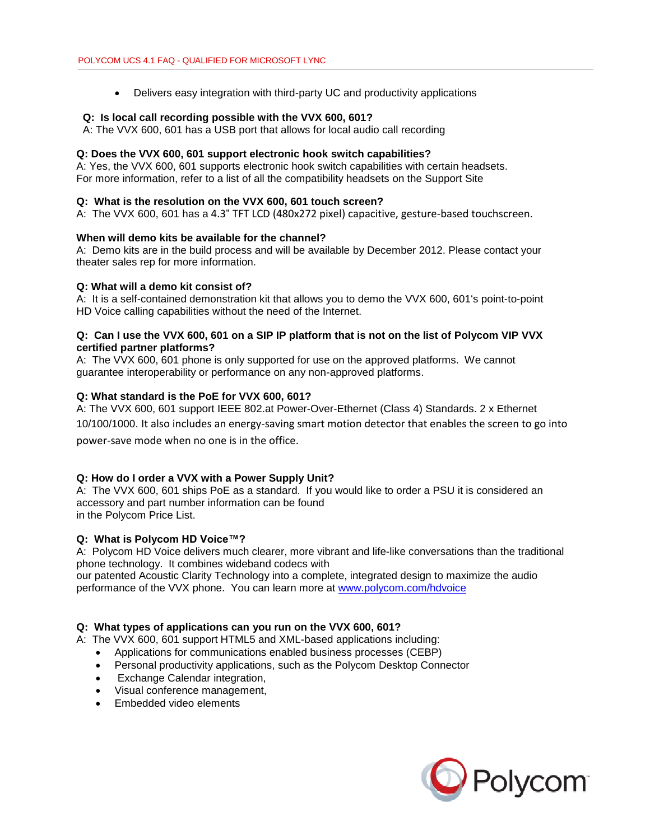• Delivers easy integration with third-party UC and productivity applications

#### **Q: Is local call recording possible with the VVX 600, 601?**

A: The VVX 600, 601 has a USB port that allows for local audio call recording

#### **Q: Does the VVX 600, 601 support electronic hook switch capabilities?**

A: Yes, the VVX 600, 601 supports electronic hook switch capabilities with certain headsets. For more information, refer to a list of all the compatibility headsets on the Support Site

#### **Q: What is the resolution on the VVX 600, 601 touch screen?**

A: The VVX 600, 601 has a 4.3" TFT LCD (480x272 pixel) capacitive, gesture-based touchscreen.

#### **When will demo kits be available for the channel?**

A: Demo kits are in the build process and will be available by December 2012. Please contact your theater sales rep for more information.

#### **Q: What will a demo kit consist of?**

A: It is a self-contained demonstration kit that allows you to demo the VVX 600, 601's point-to-point HD Voice calling capabilities without the need of the Internet.

### **Q: Can I use the VVX 600, 601 on a SIP IP platform that is not on the list of Polycom VIP VVX certified partner platforms?**

A: The VVX 600, 601 phone is only supported for use on the approved platforms. We cannot guarantee interoperability or performance on any non-approved platforms.

#### **Q: What standard is the PoE for VVX 600, 601?**

A: The VVX 600, 601 support IEEE 802.at Power-Over-Ethernet (Class 4) Standards. 2 x Ethernet 10/100/1000. It also includes an energy-saving smart motion detector that enables the screen to go into power-save mode when no one is in the office.

#### **Q: How do I order a VVX with a Power Supply Unit?**

A: The VVX 600, 601 ships PoE as a standard. If you would like to order a PSU it is considered an accessory and part number information can be found in the Polycom Price List.

#### **Q: What is Polycom HD Voice™?**

A: Polycom HD Voice delivers much clearer, more vibrant and life-like conversations than the traditional phone technology. It combines wideband codecs with

our patented Acoustic Clarity Technology into a complete, integrated design to maximize the audio performance of the VVX phone. You can learn more at [www.polycom.com/hdvoice](http://www.polycom.com/hdvoice)

#### **Q: What types of applications can you run on the VVX 600, 601?**

A: The VVX 600, 601 support HTML5 and XML-based applications including:

- Applications for communications enabled business processes (CEBP)
- Personal productivity applications, such as the Polycom Desktop Connector
- Exchange Calendar integration,
- Visual conference management,
- Embedded video elements